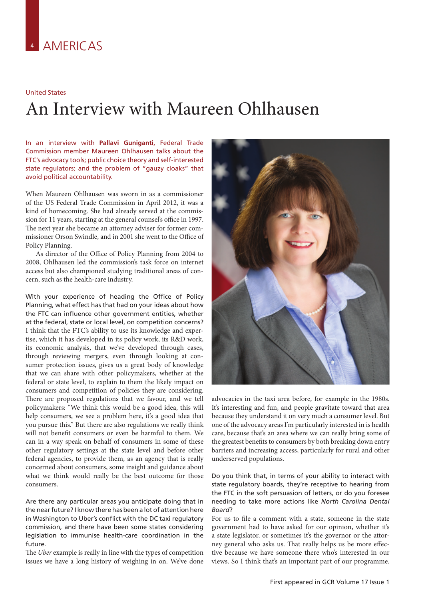## United States

## An Interview with Maureen Ohlhausen

In an interview with **Pallavi Guniganti**, Federal Trade Commission member Maureen Ohlhausen talks about the FTC's advocacy tools; public choice theory and self-interested state regulators; and the problem of "gauzy cloaks" that avoid political accountability.

When Maureen Ohlhausen was sworn in as a commissioner of the US Federal Trade Commission in April 2012, it was a kind of homecoming. She had already served at the commission for 11 years, starting at the general counsel's office in 1997. The next year she became an attorney adviser for former commissioner Orson Swindle, and in 2001 she went to the Office of Policy Planning.

As director of the Office of Policy Planning from 2004 to 2008, Ohlhausen led the commission's task force on internet access but also championed studying traditional areas of concern, such as the health-care industry.

With your experience of heading the Office of Policy Planning, what effect has that had on your ideas about how the FTC can influence other government entities, whether at the federal, state or local level, on competition concerns? I think that the FTC's ability to use its knowledge and expertise, which it has developed in its policy work, its R&D work, its economic analysis, that we've developed through cases, through reviewing mergers, even through looking at consumer protection issues, gives us a great body of knowledge that we can share with other policymakers, whether at the federal or state level, to explain to them the likely impact on consumers and competition of policies they are considering. There are proposed regulations that we favour, and we tell policymakers: "We think this would be a good idea, this will help consumers, we see a problem here, it's a good idea that you pursue this." But there are also regulations we really think will not benefit consumers or even be harmful to them. We can in a way speak on behalf of consumers in some of these other regulatory settings at the state level and before other federal agencies, to provide them, as an agency that is really concerned about consumers, some insight and guidance about what we think would really be the best outcome for those consumers.

Are there any particular areas you anticipate doing that in the near future? I know there has been a lot of attention here in Washington to Uber's conflict with the DC taxi regulatory commission, and there have been some states considering legislation to immunise health-care coordination in the future.

The *Uber* example is really in line with the types of competition issues we have a long history of weighing in on. We've done



advocacies in the taxi area before, for example in the 1980s. It's interesting and fun, and people gravitate toward that area because they understand it on very much a consumer level. But one of the advocacy areas I'm particularly interested in is health care, because that's an area where we can really bring some of the greatest benefits to consumers by both breaking down entry barriers and increasing access, particularly for rural and other underserved populations.

Do you think that, in terms of your ability to interact with state regulatory boards, they're receptive to hearing from the FTC in the soft persuasion of letters, or do you foresee needing to take more actions like *North Carolina Dental Board*?

For us to file a comment with a state, someone in the state government had to have asked for our opinion, whether it's a state legislator, or sometimes it's the governor or the attorney general who asks us. That really helps us be more effective because we have someone there who's interested in our views. So I think that's an important part of our programme.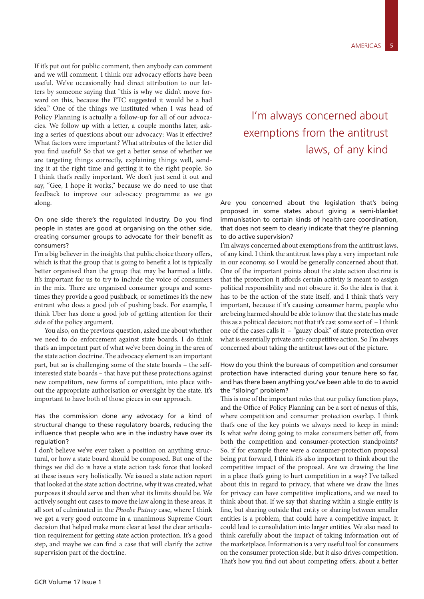If it's put out for public comment, then anybody can comment and we will comment. I think our advocacy efforts have been useful. We've occasionally had direct attribution to our letters by someone saying that "this is why we didn't move forward on this, because the FTC suggested it would be a bad idea." One of the things we instituted when I was head of Policy Planning is actually a follow-up for all of our advocacies. We follow up with a letter, a couple months later, asking a series of questions about our advocacy: Was it effective? What factors were important? What attributes of the letter did you find useful? So that we get a better sense of whether we are targeting things correctly, explaining things well, sending it at the right time and getting it to the right people. So I think that's really important. We don't just send it out and say, "Gee, I hope it works," because we do need to use that feedback to improve our advocacy programme as we go along.

On one side there's the regulated industry. Do you find people in states are good at organising on the other side, creating consumer groups to advocate for their benefit as consumers?

I'm a big believer in the insights that public choice theory offers, which is that the group that is going to benefit a lot is typically better organised than the group that may be harmed a little. It's important for us to try to include the voice of consumers in the mix. There are organised consumer groups and sometimes they provide a good pushback, or sometimes it's the new entrant who does a good job of pushing back. For example, I think Uber has done a good job of getting attention for their side of the policy argument.

You also, on the previous question, asked me about whether we need to do enforcement against state boards. I do think that's an important part of what we've been doing in the area of the state action doctrine. The advocacy element is an important part, but so is challenging some of the state boards – the selfinterested state boards – that have put these protections against new competitors, new forms of competition, into place without the appropriate authorisation or oversight by the state. It's important to have both of those pieces in our approach.

Has the commission done any advocacy for a kind of structural change to these regulatory boards, reducing the influence that people who are in the industry have over its regulation?

I don't believe we've ever taken a position on anything structural, or how a state board should be composed. But one of the things we did do is have a state action task force that looked at these issues very holistically. We issued a state action report that looked at the state action doctrine, why it was created, what purposes it should serve and then what its limits should be. We actively sought out cases to move the law along in these areas. It all sort of culminated in the *Phoebe Putney* case, where I think we got a very good outcome in a unanimous Supreme Court decision that helped make more clear at least the clear articulation requirement for getting state action protection. It's a good step, and maybe we can find a case that will clarify the active supervision part of the doctrine.

## I'm always concerned about exemptions from the antitrust laws, of any kind

Are you concerned about the legislation that's being proposed in some states about giving a semi-blanket immunisation to certain kinds of health-care coordination, that does not seem to clearly indicate that they're planning to do active supervision?

I'm always concerned about exemptions from the antitrust laws, of any kind. I think the antitrust laws play a very important role in our economy, so I would be generally concerned about that. One of the important points about the state action doctrine is that the protection it affords certain activity is meant to assign political responsibility and not obscure it. So the idea is that it has to be the action of the state itself, and I think that's very important, because if it's causing consumer harm, people who are being harmed should be able to know that the state has made this as a political decision; not that it's cast some sort of – I think one of the cases calls it – "gauzy cloak" of state protection over what is essentially private anti-competitive action. So I'm always concerned about taking the antitrust laws out of the picture.

How do you think the bureaus of competition and consumer protection have interacted during your tenure here so far, and has there been anything you've been able to do to avoid the "siloing" problem?

This is one of the important roles that our policy function plays, and the Office of Policy Planning can be a sort of nexus of this, where competition and consumer protection overlap. I think that's one of the key points we always need to keep in mind: Is what we're doing going to make consumers better off, from both the competition and consumer-protection standpoints? So, if for example there were a consumer-protection proposal being put forward, I think it's also important to think about the competitive impact of the proposal. Are we drawing the line in a place that's going to hurt competition in a way? I've talked about this in regard to privacy, that where we draw the lines for privacy can have competitive implications, and we need to think about that. If we say that sharing within a single entity is fine, but sharing outside that entity or sharing between smaller entities is a problem, that could have a competitive impact. It could lead to consolidation into larger entities. We also need to think carefully about the impact of taking information out of the marketplace. Information is a very useful tool for consumers on the consumer protection side, but it also drives competition. That's how you find out about competing offers, about a better